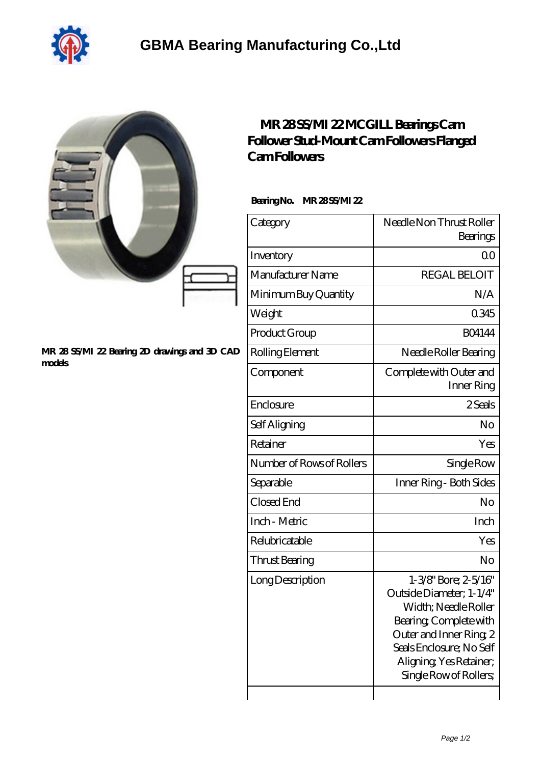

|                                                         | MR 28SS/MI 22MCGILL Bearings Cam<br>Follower Stud-Mount CamFollowers Flanged<br><b>CamFollowers</b><br>BearingNo.<br>MR 28SS/MI 22 |                                                                                                                                                                                                              |
|---------------------------------------------------------|------------------------------------------------------------------------------------------------------------------------------------|--------------------------------------------------------------------------------------------------------------------------------------------------------------------------------------------------------------|
|                                                         | Category                                                                                                                           | Needle Non Thrust Roller                                                                                                                                                                                     |
|                                                         |                                                                                                                                    | Bearings                                                                                                                                                                                                     |
|                                                         | Inventory                                                                                                                          | 0 <sub>0</sub>                                                                                                                                                                                               |
|                                                         | Manufacturer Name                                                                                                                  | <b>REGAL BELOIT</b>                                                                                                                                                                                          |
|                                                         | Minimum Buy Quantity                                                                                                               | N/A                                                                                                                                                                                                          |
|                                                         | Weight                                                                                                                             | 0345                                                                                                                                                                                                         |
|                                                         | Product Group                                                                                                                      | <b>BO4144</b>                                                                                                                                                                                                |
| MR 28 SS/MI 22 Bearing 2D drawings and 3D CAD<br>models | Rolling Element                                                                                                                    | Needle Roller Bearing                                                                                                                                                                                        |
|                                                         | Component                                                                                                                          | Complete with Outer and<br>Inner Ring                                                                                                                                                                        |
|                                                         | Enclosure                                                                                                                          | 2Seals                                                                                                                                                                                                       |
|                                                         | Self Aligning                                                                                                                      | No                                                                                                                                                                                                           |
|                                                         | Retainer                                                                                                                           | Yes                                                                                                                                                                                                          |
|                                                         | Number of Rows of Rollers                                                                                                          | Single Row                                                                                                                                                                                                   |
|                                                         | Separable                                                                                                                          | Inner Ring - Both Sides                                                                                                                                                                                      |
|                                                         | Closed End                                                                                                                         | No                                                                                                                                                                                                           |
|                                                         | Inch - Metric                                                                                                                      | Inch                                                                                                                                                                                                         |
|                                                         | Relubricatable                                                                                                                     | Yes                                                                                                                                                                                                          |
|                                                         | Thrust Bearing                                                                                                                     | No                                                                                                                                                                                                           |
|                                                         | Long Description                                                                                                                   | 1-3/8" Bore; 2-5/16"<br>Outside Diameter; 1-1/4"<br>Width; Needle Roller<br>Bearing, Complete with<br>Outer and Inner Ring 2<br>Seals Enclosure; No Self<br>Aligning Yes Retainer;<br>Single Row of Rollers, |

 $\overline{\phantom{a}}$ 

 $\overline{\phantom{a}}$